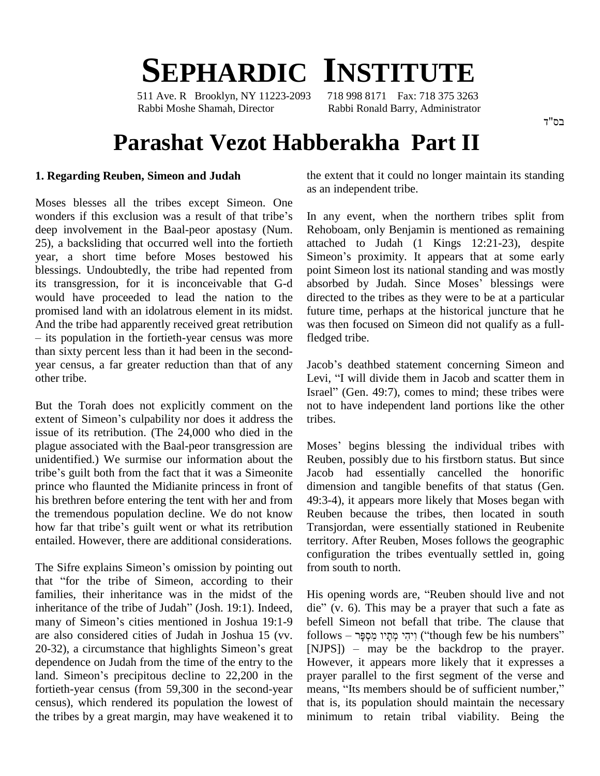# **SEPHARDIC INSTITUTE**

511 Ave. R Brooklyn, NY 11223-2093 718 998 8171 Fax: 718 375 3263 Rabbi Moshe Shamah, Director Rabbi Ronald Barry, Administrator

## **Parashat Vezot Habberakha Part II**

#### **1. Regarding Reuben, Simeon and Judah**

Moses blesses all the tribes except Simeon. One wonders if this exclusion was a result of that tribe's deep involvement in the Baal-peor apostasy (Num. 25), a backsliding that occurred well into the fortieth year, a short time before Moses bestowed his Simeon's proximity. It appears that at some early blessings. Undoubtedly, the tribe had repented from its transgression, for it is inconceivable that G-d would have proceeded to lead the nation to the promised land with an idolatrous element in its midst. fu And the tribe had apparently received great retribution  $-$  its population in the fortieth-year census was more than sixty percent less than it had been in the second year census, a far greater reduction than that of any other tribe.

But the Torah does not explicitly comment on the issue of its retribution. (The 24,000 who died in the plague associated with the Baal-peor transgression are Mose<br>unidentified.) We surmise our information about the Reub<br>tribe's guilt both from the fact that it was a Simeonite Jacob unidentified.) We surmise our information about the prince who flaunted the Midianite princess in front of his brethren before entering the tent with her and from 49:3-4), it at the tremendous population decline. We do not know Reuben behow far that tribe's guilt went or what its retribution Transjordan the tremendous population decline. We do not know entailed. However, there are additional considerations. entailed. However, there are additional considerations. term<br>contributions of the Sifre explains Simeon's omission by pointing out from

com<br>The Sifre explains Simeon's omission by pointing out<br>that "for the tribe of Simeon, according to their families, their inheritance was in the midst of the that "for the tribe of Simeon, according to their<br>families, their inheritance was in the midst of the<br>inheritance of the tribe of Judah" (Josh. 19:1). Indeed, families, their inheritance was in the midst of the His of inheritance of the tribe of Judah" (Josh. 19:1). Indeed, die" (many of Simeon's cities mentioned in Joshua 19:1-9 befell are also considered cities of Judah in Joshua 15 (vv. many of Simeon's cities mentioned in Joshua 19:1-9 be<br>are also considered cities of Judah in Joshua 15 (vv. fo<br>20-32), a circumstance that highlights Simeon's great [N dependence on Judah from the time of the entry to the 20-32), a circumstance that highlights Simeon's great dependence on Judah from the time of the entry to the land. Simeon's precipitous decline to 22,200 in the fortieth-year census (from 59,300 in the second-year census), which rendered its population the lowest of the tribes by a great margin, may have weakened it to

the extent that it could no longer maintain its standing as an independent tribe.

In any event, when the northern tribes split from Rehoboam, only Benjamin is mentioned as remaining attached to Judah (1 Kings 12:21-23), despite Rehoboam, only Benjamin is mentioned as remaining<br>attached to Judah (1 Kings 12:21-23), despite<br>Simeon's proximity. It appears that at some early point Simeon lost its national standing and was mostly Simeon's proximity. It appears that at some early<br>point Simeon lost its national standing and was mostly<br>absorbed by Judah. Since Moses' blessings were directed to the tribes as they were to be at a particular future time, perhaps at the historical juncture that he was then focused on Simeon did not qualify as a fullfledged tribe. Fledged tribe.<br>Jacob's deathbed statement concerning Simeon and

Israel" (Gen. 49:7), comes to mind; these tribes were<br>But the Torah does not explicitly comment on the not to have independent land portions like the other<br>extent of Simeon's culpability nor does it address the tribes. Jacob's deathbed statement concerning Simeon and<br>Levi, "I will divide them in Jacob and scatter them in Jacob's deathbed statement concerning Simeon and<br>Levi, "I will divide them in Jacob and scatter them in<br>Israel" (Gen. 49:7), comes to mind; these tribes were not to have independent land portions like the other tribes.

> Moses' begins blessing the individual tribes with Reuben, possibly due to his firstborn status. But since Jacob had essentially cancelled the honorific dimension and tangible benefits of that status (Gen. 49:3-4), it appears more likely that Moses began with Reuben because the tribes, then located in south Transjordan, were essentially stationed in Reubenite territory. After Reuben, Moses follows the geographic configuration the tribes eventually settled in, going from south to north. from south to north.<br>His opening words are, "Reuben should live and not

His opening words are, "Reuben should live and not<br>die" (v. 6). This may be a prayer that such a fate as befell Simeon not befall that tribe. The clause that die"  $(v, 6)$ . This may be a prayer that such a fate as  $[NJPS]$ ) – may be the backdrop to the prayer. However, it appears more likely that it expresses a prayer parallel to the first segment of the verse and means, "Its members should be of sufficient number," that is, its population should maintain the necessary minimum to retain tribal viability. Being the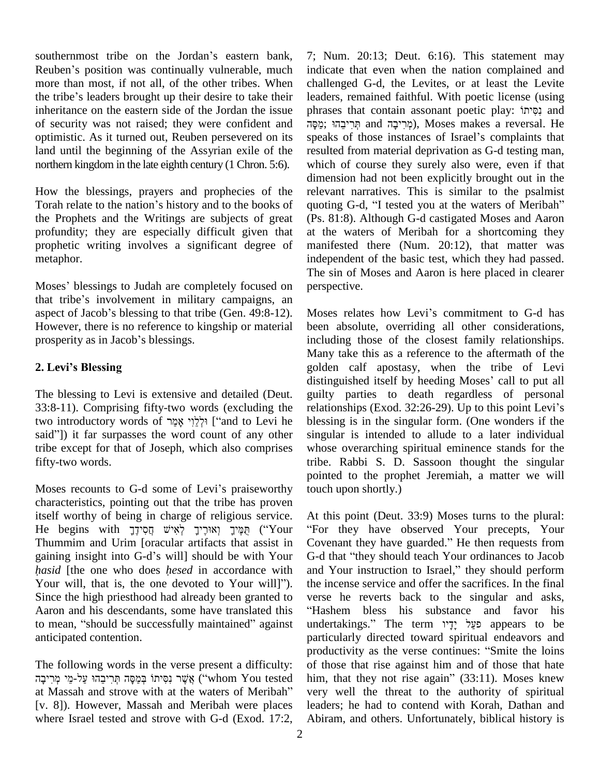southernmost tribe on the Jordan's eastern bank, southernmost tribe on the Jordan's eastern bank, 7; Nu<br>Reuben's position was continually vulnerable, much indica more than most, if not all, of the other tribes. When Reuben's position was continually vulnerable, much ind<br>more than most, if not all, of the other tribes. When cha<br>the tribe's leaders brought up their desire to take their lea inheritance on the eastern side of the Jordan the issue of security was not raised; they were confident and optimistic. As it turned out, Reuben persevered on its speaks of those instances of Israel's complaints that land until the beginning of the Assyrian exile of the northern kingdom in the late eighth century (1 Chron. 5:6).

How the blessings, prayers and prophecies of the Torah relate to the nation's history and to the books of quoting G-d, "I tested you at the waters of Meribah" the Prophets and the Writings are subjects of great profundity; they are especially difficult given that prophetic writing involves a significant degree of metaphor. metaphor. independent<br>The si<br>Moses' blessings to Judah are completely focused on perspe

The si<br>Moses' blessings to Judah are completely focused on perspe<br>that tribe's involvement in military campaigns, an Moses' blessings to Judah are completely focused on pothat tribe's involvement in military campaigns, an aspect of Jacob's blessing to that tribe (Gen. 49:8-12). However, there is no reference to kingship or material aspect of Jacob's blessing to that tribe (Gen. 49:8-12). **2. Leviís Blessing**

The blessing to Levi is extensive and detailed (Deut. 33:8-11). Comprising fifty-two words (excluding the relationships (Exod. 32:26-29). Up to this point Levi's the blessing to Levi is extensive and detailed (Deut. guilty 33:8-11). Comprising fifty-two words (excluding the relation relations)  $\gamma_2^2$  ["and to Levi he bless said?). Comprising fifty-two words (excluding the relation introductory words of וַלְלֵוֹי אָמַר<br>["and to Levi he ble said?"]) it far surpasses the word count of any other sing tribe except for that of Joseph, which also comprises fifty-two words.

Moses recounts to G-d some of Levi's praiseworthy characteristics, pointing out that the tribe has proven itself worthy of being in charge of religious service. A characteristics, pointing out that the tribe has proven<br>itself worthy of being in charge of religious service. At<br>הַמֶּיךָ (יִאִישׁ חֲסִידָךָ (יוֹשָׁי הַפִּידָ) (''Your ''Fo Thummim and Urim [oracular artifacts that assist in He begins with הַפִּירֶ לְאִישׁ הַחָּירֶךְ לְאִישׁ הַחֲסִידֶךָ ("Your "For they have observed Your precepts, Your<br>Thummim and Urim [oracular artifacts that assist in Covenant they have guarded." He then requests from gain Thummim and Urim [oracular artifacts that assist in Coven gaining insight into G-d's will] should be with Your G-d the *hasid* [the one who does *hesed* in accordance with and Y gaining insight into G-d's will] should be with Your G<br>*hasid* [the one who does *hesed* in accordance with and<br>Your will, that is, the one devoted to Your will]"). Since the high priesthood had already been granted to verse he reverts back to the singular and asks, Aaron and his descendants, some have translated this Since the high priesthood had already been granted to ve<br>Aaron and his descendants, some have translated this "F<br>to mean, "should be successfully maintained" against un anticipated contention.

The following words in the verse present a difficulty: produ<br>produo in the verse present a difficulty: of tho<br>www. אֲשֶׁר נִסִּיתוֹ בְּמֵסָּה תְּרִיבֵהוּ עַל-מֵיֹ ('whom You tested him, t The following words in the verse present a difficulty: of th<br>אֱשֶׁר נִסִּיתוֹ בְּמֵסָּה תְּרִיבֵהוּ עַל-מֵי מְרִיבָה<br>at Massah and strove with at the waters of Meribah" very [v. 8]). However, Massah and Meribah were places where Israel tested and strove with G-d (Exod. 17:2,

7; Num. 20:13; Deut. 6:16). This statement may indicate that even when the nation complained and challenged G-d, the Levites, or at least the Levite leaders, remained faithful. With poetic license (using challenged G-d, the Levites, or at least the Levite<br>leaders, remained faithful. With poetic license (using<br>phrases that contain assonant poetic play: פִסְיתוֹ leaders, remained faithful. With poetic license (using<br>phrases that contain assonant poetic play: פְּהוּ נִסְיתוּ<br>מְרִיבֵהוּ, Yoses makes a reversal. He phrases that contain assonant poetic play: Israelis that contain assonant poetic play: resulted from material deprivation as G-d testing man, which of course they surely also were, even if that dimension had not been explicitly brought out in the relevant narratives. This is similar to the psalmist dimension had not been explicitly brought out in the relevant narratives. This is similar to the psalmist quoting G-d, "I tested you at the waters of Meribah" (Ps. 81:8). Although G-d castigated Moses and Aaron at the waters of Meribah for a shortcoming they manifested there (Num. 20:12), that matter was independent of the basic test, which they had passed. The sin of Moses and Aaron is here placed in clearer perspective.

Moses relates how Levi's commitment to G-d has been absolute, overriding all other considerations, including those of the closest family relationships. Many take this as a reference to the aftermath of the golden calf apostasy, when the tribe of Levi Many take this as a reference to the aftermath of the golden calf apostasy, when the tribe of Levi<br>distinguished itself by heeding Moses' call to put all guilty parties to death regardless of personal distinguished itself by heeding Moses' call to put all blessing is in the singular form. (One wonders if the singular is intended to allude to a later individual whose overarching spiritual eminence stands for the tribe. Rabbi S. D. Sassoon thought the singular pointed to the prophet Jeremiah, a matter we will touch upon shortly.)

At this point (Deut. 33:9) Moses turns to the plural: For they have observed Your precepts, Your At this point (Deut. 33:9) Moses turns to the plural:<br>"For they have observed Your precepts, Your<br>Covenant they have guarded." He then requests from "For they have observed Your precepts, Your<br>Covenant they have guarded." He then requests from<br>G-d that "they should teach Your ordinances to Jacob Covenant they have guarded." He then requests from<br>G-d that "they should teach Your ordinances to Jacob<br>and Your instruction to Israel," they should perform the incense service and offer the sacrifices. In the final verse he reverts back to the singular and asks, Hashem bless his substance and favor his undertakings." The term פַעֲל יָדָיו appears to be particularly directed toward spiritual endeavors and productivity as the verse continues: "Smite the loins of those that rise against him and of those that hate him, that they not rise again"  $(33:11)$ . Moses knew very well the threat to the authority of spiritual leaders; he had to contend with Korah, Dathan and Abiram, and others. Unfortunately, biblical history is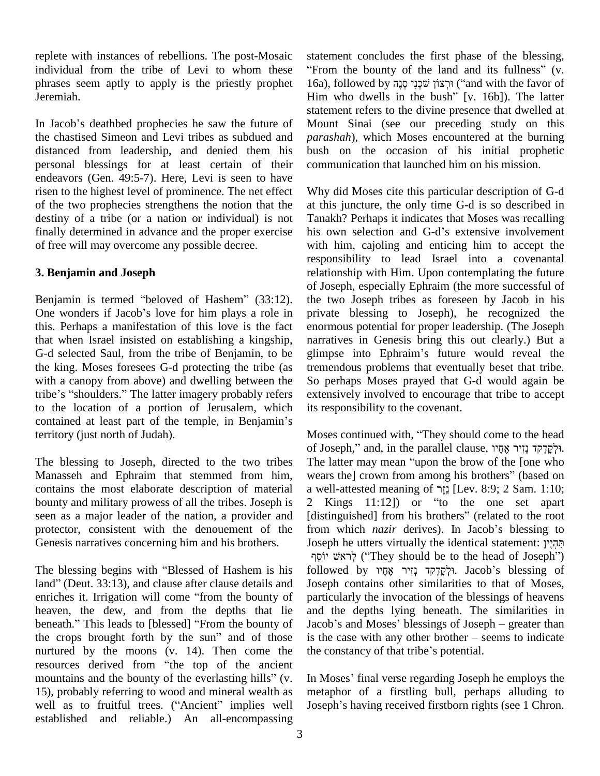replete with instances of rebellions. The post-Mosaic individual from the tribe of Levi to whom these phrases seem aptly to apply is the priestly prophet Jeremiah.

the chastised Simeon and Levi tribes as subdued and distanced from leadership, and denied them his personal blessings for at least certain of their endeavors (Gen. 49:5-7). Here, Levi is seen to have risen to the highest level of prominence. The net effect of the two prophecies strengthens the notion that the destiny of a tribe (or a nation or individual) is not finally determined in advance and the proper exercise his own selection and G-d's extensive involvement of free will may overcome any possible decree.

#### **3. Benjamin and Joseph**

3. Benjamin and Joseph<br>
of<br>
Benjamin is termed "beloved of Hashem" (33:12). th of Jos<br>Benjamin is termed "beloved of Hashem" (33:12). the two<br>One wonders if Jacob's love for him plays a role in private this. Perhaps a manifestation of this love is the fact that when Israel insisted on establishing a kingship, G-d selected Saul, from the tribe of Benjamin, to be glimpse into Ephraim's future would reveal the the king. Moses foresees G-d protecting the tribe (as with a canopy from above) and dwelling between the the king. Moses foresees G-d protecting the tribe (as trem<br>with a canopy from above) and dwelling between the So<br>tribe's "shoulders." The latter imagery probably refers exte to the location of a portion of Jerusalem, which tribe's "shoulders." The latter imagery probably refers externed to the location of a portion of Jerusalem, which its recontained at least part of the temple, in Benjamin's territory (just north of Judah).

The blessing to Joseph, directed to the two tribes The latter may mean "upon the brow of the [one who Manasseh and Ephraim that stemmed from him, contains the most elaborate description of material bounty and military prowess of all the tribes. Joseph is 2 Kings 11:12) or "to the one set apart seen as a major leader of the nation, a provider and [distinguished] from his brothers" (related to the root protector, consistent with the denouement of the Genesis narratives concerning him and his brothers.

Genesis narratives concerning him and his brothers. Jose<br>יוֹסֵף<br>The blessing begins with "Blessed of Hashem is his follo  $\begin{array}{c} \text{if the } 1 \text{ if the } 3 \text{ if the } 3 \text{ if the } 4 \text{ if the } 5 \text{ if the } 5 \text{ if the } 6 \text{ if the } 6 \text{ if the } 7 \text{ if the } 6 \text{ if the } 7 \text{ if the } 7 \text{ if the } 7 \text{ if the } 7 \text{ if the } 7 \text{ if the } 7 \text{ if the } 7 \text{ if the } 7 \text{ if the } 7 \text{ if the } 7 \text{ if the } 7 \text{ if the } 7 \text{ if the } 7 \text{ if the } 7 \text{ if the } 7 \text{ if the } 7 \text{ if the$ The blessing begins with "Blessed of Hashem is his foll land" (Deut. 33:13), and clause after clause details and Jos enriches it. Irrigation will come "from the bounty of part heaven, the dew, and from the depths that lie enriches it. Irrigation will come "from the bounty of par<br>heaven, the dew, and from the depths that lie and<br>beneath." This leads to [blessed] "From the bounty of Jac heaven, the dew, and from the depths that lie and<br>beneath." This leads to [blessed] "From the bounty of Jacot<br>the crops brought forth by the sun" and of those is the nurtured by the moons (v. 14). Then come the the context the crops brought forth by the sun" and of those is<br>nurtured by the moons (v. 14). Then come the th<br>resources derived from "the top of the ancient murtured by the moons (v. 14). Then come the the despective the everlasting of the ancient mountains and the bounty of the everlasting hills" (v. In M 15), probably referring to wood and mineral wealth as metal mountains and the bounty of the everlasting hills" (v. In Moses' final verse regarding Joseph he employs the 15), probably referring to wood and mineral wealth as metaphor of a firstling bull, perhaps alluding to well as t established and reliable.) An all-encompassing

In Jacob's deathbed prophecies he saw the future of Mount Sinai (see our preceding study on this Jacob's deathbed prophecies he saw the future of Mount Sinai (see our preceding study on this statement concludes the first phase of the blessing, tatement concludes the first phase of the blessing,<br>From the bounty of the land and its fullness" (v. statement concludes the first phase of the blessing,<br>"From the bounty of the land and its fullness" (v. 16a), followed by ויִרְצוֹן שֹׁכְנִי מָנֶה ("and with the favor of "From the bounty of the land and its fullness" (v. 16a), followed by וּרְצוֹן שׁכְנִי סְנֶה ("and with the favor of Him who dwells in the bush" [v. 16b]). The latter statement refers to the divine presence that dwelled at Mount Sinai (see our preceding study on this *parashah*), which Moses encountered at the burning bush on the occasion of his initial prophetic communication that launched him on his mission.

> Why did Moses cite this particular description of G-d at this juncture, the only time G-d is so described in Tanakh? Perhaps it indicates that Moses was recalling at this juncture, the only time G-d is so described in<br>Tanakh? Perhaps it indicates that Moses was recalling<br>his own selection and G-d's extensive involvement with him, cajoling and enticing him to accept the responsibility to lead Israel into a covenantal relationship with Him. Upon contemplating the future of Joseph, especially Ephraim (the more successful of the two Joseph tribes as foreseen by Jacob in his private blessing to Joseph), he recognized the enormous potential for proper leadership. (The Joseph narratives in Genesis bring this out clearly.) But a enormous potential for proper leadership. (The Joseph<br>narratives in Genesis bring this out clearly.) But a<br>glimpse into Ephraim's future would reveal the tremendous problems that eventually beset that tribe. So perhaps Moses prayed that G-d would again be extensively involved to encourage that tribe to accept its responsibility to the covenant. its responsibility to the covenant.<br>Moses continued with, "They should come to the head

> Moses continued with, "They should come to the head<br>of Joseph," and, in the parallel clause, וִילְקַדְקִד נְזִיר אֶחֶיו Moses continued with, "They should come to the head<br>of Joseph," and, in the parallel clause, וִלְקִדְקד נְזִיר אֶחָיו.<br>The latter may mean "upon the brow of the [one who of Joseph," and, in the parallel clause, וּלְקִדְקד נְזִיר אֶחָיו.<br>The latter may mean "upon the brow of the [one who<br>wears the] crown from among his brothers" (based on rhe latter may mean "upon the brow of the [one who<br>wears the] crown from among his brothers" (based on<br>a well-attested meaning of  $\overline{z}$  [Lev. 8:9; 2 Sam. 1:10; wears the] crown from among his brothers" (based on<br>a well-attested meaning of נְגָר [Lev. 8:9; 2 Sam. 1:10;<br>2 Kings 11:12]) or "to the one set apart a well-attested meaning of נְזֵר [Lev. 8:9; 2 Sam. 1:10; 2 Kings 11:12]) or "to the one set apart<br>[distinguished] from his brothers" (related to the root<br>from which *nazir* derives). In Jacob's blessing to [distinguished] from his brothers" (related to the root from which *nazir* derives). In Jacob's blessing to Joseph he utters virtually the identical statement: תְּהָיָ which *nazir* derives). In Jacob's blessing to<br>h he utters virtually the identical statement: תְּהְיָין<br>
> ("They should be to the head of Joseph") Joseph he utters virtually the identical statement: תְּהְיֶיךָ ("They should be to the head of Joseph")<br>
> followed by יוֹקַדַּקִקד נִזְיר אֲחָיו Jacob's blessing of Joseph contains other similarities to that of Moses, particularly the invocation of the blessings of heavens and the depths lying beneath. The similarities in particularly the invocation of the blessings of heavens<br>and the depths lying beneath. The similarities in<br>Jacob's and Moses' blessings of Joseph – greater than and the depths lying beneath. The similarities in Jacob's and Moses' blessings of Joseph – greater than is the case with any other brother – seems to indicate Jacob's and Moses' blessings of Joseph – greater than<br>is the case with any other brother – seems to indicate<br>the constancy of that tribe's potential.

the constancy of that tribe's potential.<br>In Moses' final verse regarding Joseph he employs the metaphor of a firstling bull, perhaps alluding to In Moses' final verse regarding Joseph he employs the metaphor of a firstling bull, perhaps alluding to Joseph's having received firstborn rights (see 1 Chron.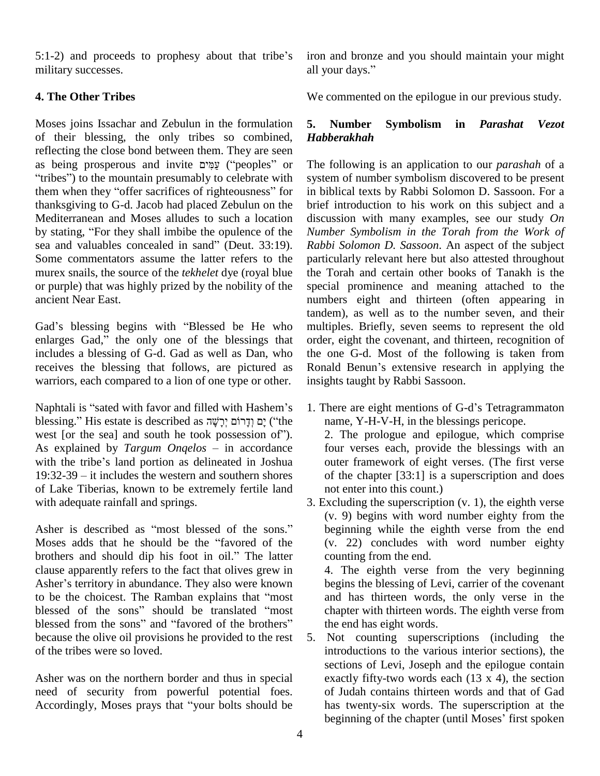$5:1-2$ ) and proceeds to prophesy about that tribe's military successes.

### **4. The Other Tribes**

Moses joins Issachar and Zebulun in the formulation 5. Number of their blessing, the only tribes so combined, *Ha* reflecting the close bond between them. They are seen as being prosperous and invite עַמִּים ("peoples" or The reflecting the close bond between them. They are seen<br>as being prosperous and invite עֲמִים ("peoples" or The fortibes") to the mountain presumably to celebrate with system as being prosperous and invite עֲמִים ("peoples" or "tribes") to the mountain presumably to celebrate with them when they "offer sacrifices of righteousness" for thanksgiving to G-d. Jacob had placed Zebulun on the brief Mediterranean and Moses alludes to such a location discu<br>by stating, "For they shall imbibe the opulence of the *Numi* Mediterranean and Moses alludes to such a location discus<br>by stating, "For they shall imbibe the opulence of the Numbs<br>sea and valuables concealed in sand" (Deut. 33:19). Rabbi Some commentators assume the latter refers to the murex snails, the source of the *tekhelet* dye (royal blue or purple) that was highly prized by the nobility of the ancient Near East.

Gad's blessing begins with "Blessed be He who enlarges Gad," the only one of the blessings that includes a blessing of G-d. Gad as well as Dan, who receives the blessing that follows, are pictured as Ronald Benun's extensive research in applying the

warriors, each compared to a lion of one type or other. insignalized with favor and filled with Hashem<sup>3</sup>s 1. T F<br>hlessing." His estate is described as יְדָרוֹם יִרְשָׁה ('the with Hashem's<br>n יָמ וְדָרוֹם יְרָשָׁה as יִדְרוֹם יִרְשָׂה ('the m Naphtali is "sated with favor and filled with Hashem's 1.<br>blessing." His estate is described as יָם וְדָרוֹם יְרָשָׁה ("the west [or the sea] and south he took possession of"). hessing." His estate is described as יִרְשָׂה יִרְשָׁה ("the west [or the sea] and south he took possession of").<br>As explained by *Targum Onqelos* – in accordance formation of the seal and strain accordance of the seal of west [or the sea] and south he took possession of").<br>As explained by *Targum Onqelos* – in accordance with the tribe's land portion as delineated in Joshua 19:32-39 – it includes the western and southern shores with the tribe's land portion as delineated in Joshua of Lake Tiberias, known to be extremely fertile land with adequate rainfall and springs.

Asher is described as "most blessed of the sons." Moses adds that he should be the "favored of the Asher is described as "most blessed of the sons."<br>Moses adds that he should be the "favored of the<br>brothers and should dip his foot in oil." The latter clause apparently refers to the fact that olives grew in brothers and should dip his foot in oil." The latter co<br>clause apparently refers to the fact that olives grew in 4.<br>Asher's territory in abundance. They also were known be Asher's territory in abundance. They also were known<br>to be the choicest. The Ramban explains that "most Asher's territory in abundance. They also were known<br>to be the choicest. The Ramban explains that "most<br>blessed of the sons" should be translated "most to be the choicest. The Ramban explains that "most<br>blessed of the sons" should be translated "most cl<br>blessed from the sons" and "favored of the brothers" th because the olive oil provisions he provided to the rest of the tribes were so loved.

Asher was on the northern border and thus in special need of security from powerful potential foes. Asher was on the northern border and thus in special exercise of security from powerful potential foes. The of accordingly, Moses prays that "your bolts should be h

iron and bronze and you should maintain your might iron and bronze and y<br>all your days."

We commented on the epilogue in our previous study.

#### **5. Number Symbolism in***Parashat Vezot Habberakhah*

The following is an application to our *parashah* of a system of number symbolism discovered to be present in biblical texts by Rabbi Solomon D. Sassoon. For a brief introduction to his work on this subject and a discussion with many examples, see our study *On Number Symbolism in the Torah from the Work of Rabbi Solomon D. Sassoon*. An aspect of the subject particularly relevant here but also attested throughout the Torah and certain other books of Tanakh is the special prominence and meaning attached to the numbers eight and thirteen (often appearing in tandem), as well as to the number seven, and their multiples. Briefly, seven seems to represent the old order, eight the covenant, and thirteen, recognition of the one G-d. Most of the following is taken from Ronald Benun's extensive research in applying the the one G-d. Most of the following is taken from insights taught by Rabbi Sassoon.

- 1. There are eight mentions of G-d's Tetragrammaton name, Y-H-V-H, in the blessings pericope. 2. The prologue and epilogue, which comprise four verses each, provide the blessings with an outer framework of eight verses. (The first verse of the chapter [33:1] is a superscription and does not enter into this count.)
- 3. Excluding the superscription (v. 1), the eighth verse (v. 9) begins with word number eighty from the beginning while the eighth verse from the end (v. 22) concludes with word number eighty counting from the end.

4. The eighth verse from the very beginning begins the blessing of Levi, carrier of the covenant and has thirteen words, the only verse in the chapter with thirteen words. The eighth verse from the end has eight words.

5. Not counting superscriptions (including the introductions to the various interior sections), the sections of Levi, Joseph and the epilogue contain exactly fifty-two words each (13 x 4), the section of Judah contains thirteen words and that of Gad<br>has twenty-six words. The superscription at the<br>beginning of the chapter (until Moses' first spoken has twenty-six words. The superscription at the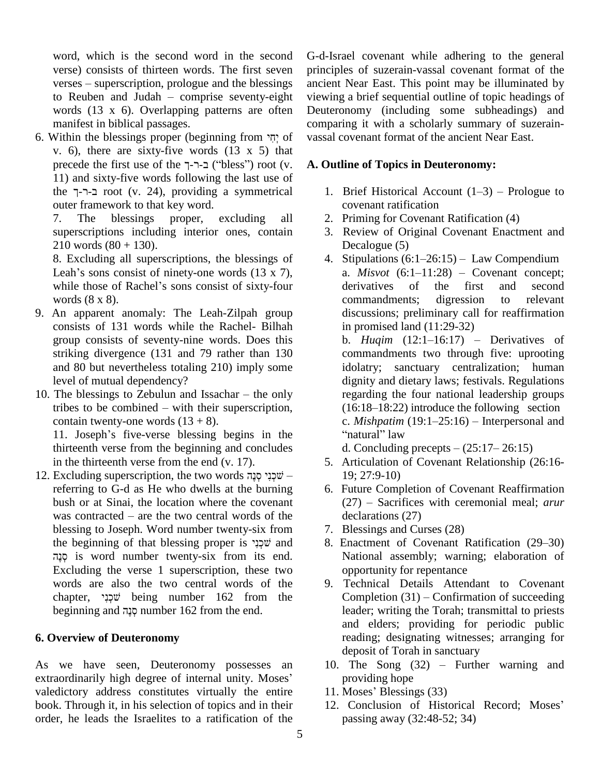word, which is the second word in the second verse) consists of thirteen words. The first seven  $verses - superscription, prologue and the blessings$ to Reuben and Judah  $-$  comprise seventy-eight words (13 x 6). Overlapping patterns are often manifest in biblical passages. words (13 x 6). Overlapping patterns are often Deut<br>manifest in biblical passages. comp<br>6. Within the blessings proper (beginning from  $\gamma\gamma$  of vassa

v. 6), there are sixty-five words  $(13 \times 5)$  that Within the blessings proper (beginning from יְחֵי of v.<br>v. 6), there are sixty-five words (13 x 5) that<br>precede the first use of the  $\tau$ - $\tau$ - $\tau$  ("bless") root (v. A 11) and sixty-five words following the last use of precede the first use of the  $\neg$ - $\neg$ - $\neg$  ("bless") root (v. **A**.<br>
11) and sixty-five words following the last use of<br>
the  $\neg$ - $\neg$ - $\neg$  root (v. 24), providing a symmetrical outer framework to that key word.

7. The blessings proper, excluding all superscriptions including interior ones, contain

210 words  $(80 + 130)$ .<br>8. Excluding all superscriptions, the blessings of<br>Leah's sons consist of ninety-one words  $(13 \times 7)$ , 8. Excluding all superscriptions, the blessings of<br>Leah's sons consist of ninety-one words (13 x 7),<br>while those of Rachel's sons consist of sixty-four words (8 x 8).

- 9. An apparent anomaly: The Leah-Zilpah group consists of 131 words while the Rachel- Bilhah group consists of seventy-nine words. Does this striking divergence (131 and 79 rather than 130 and 80 but nevertheless totaling  $210$ ) imply some level of mutual dependency?
- 10. The blessings to Zebulun and Issachar  $-$  the only tribes to be combined  $-$  with their superscription, contain twenty-one words  $(13 + 8)$ .

11. Joseph's five-verse blessing begins in the thirteenth verse from the beginning and concludes<br>in the thirteenth verse from the end (v. 17).<br>12. Excluding superscription, the two words  $\frac{1}{2}$ שׁכְנִי קוּגֶה – in the thirteenth verse from the end (v. 17).

referring to G-d as He who dwells at the burning bush or at Sinai, the location where the covenant referring to  $\tilde{G}$ -d as He who dwells at the burning 6<br>bush or at Sinai, the location where the covenant<br>was contracted – are the two central words of the blessing to Joseph. Word number twenty-six from  $\qquad 7.$  Bles was contracted – are the two central words of the blessing to Joseph. Word number twenty-six from the beginning of that blessing proper is  $\gamma$  $\psi$  and is word number twenty-six from its end. Excluding the verse 1 superscription, these two<br>words are also the two central words of the 9.<br>chapter, שִׁכְנֵי being number 162 from the words are also the two central words of the chapter, שְׁבְנִי being number 162 from the beginning and הָנֵה number 162 from the end.

#### **6. Overview of Deuteronomy**

As we have seen, Deuteronomy possesses an As we have seen, Deuteronomy possesses an<br>extraordinarily high degree of internal unity. Moses' valedictory address constitutes virtually the entire 11. Moses' Blessings (33) book. Through it, in his selection of topics and in their order, he leads the Israelites to a ratification of the

G-d-Israel covenant while adhering to the general principles of suzerain-vassal covenant format of the ancient Near East. This point may be illuminated by viewing a brief sequential outline of topic headings of Deuteronomy (including some subheadings) and comparing it with a scholarly summary of suzerainvassal covenant format of the ancient Near East.

#### **A. Outline of Topics in Deuteronomy:**

- 1. Brief Historical Account  $(1-3)$  Prologue to covenant ratification
- 2. Priming for Covenant Ratification (4)
- 3. Review of Original Covenant Enactment and<br>Decalogue (5)<br>4. Stipulations (6:1–26:15) Law Compendium Decalogue (5)
- 4. Stipulations  $(6:1-26:15)$  Law Compendium<br>a. *Misvot*  $(6:1-11:28)$  Covenant concept; derivatives of the first and second commandments; digression to relevant discussions; preliminary call for reaffirmation<br>in promised land (11:29-32)<br>b. *Huqim* (12:1–16:17) – Derivatives of in promised land (11:29-32)

commandments two through five: uprooting idolatry; sanctuary centralization; human dignity and dietary laws; festivals. Regulations<br>regarding the four national leadership groups<br>(16:18–18:22) introduce the following section regarding the four national leadership groups regarding the four national leadership groups<br>(16:18–18:22) introduce the following section<br>c. *Mishpatim* (19:1–25:16) – Interpersonal and  $(16:18-18:22)$  introduce the<br>c. *Mishpatim*  $(19:1-25:16)$ <br>"natural" law c. *Mishpatim* (19:1–25:16) – Interpersonal and<br>"natural" law<br>d. Concluding precepts – (25:17– 26:15)

- 5. Articulation of Covenant Relationship (26:16- 19; 27:9-10)
- 6. Future Completion of Covenant Reaffirmation  $(27)$  – Sacrifices with ceremonial meal; *arur* declarations (27)
- 7. Blessings and Curses (28)
- 8. Enactment of Covenant Ratification (29–30) National assembly; warning; elaboration of opportunity for repentance
- 9. Technical Details Attendant to Covenant opportunity for repentance<br>
Technical Details Attendant to Covenant<br>
Completion (31) – Confirmation of succeeding leader; writing the Torah; transmittal to priests and elders; providing for periodic public reading; designating witnesses; arranging for deposit of Torah in sanctuary reading; designating witnesses; arranging for<br>deposit of Torah in sanctuary<br>10. The Song (32) – Further warning and
- providing hope 10. The Song (32) – Furtl<br>providing hope<br>11. Moses' Blessings (33)
- 
- 12. Conclusion of Historical Record; Moses' passing away (32:48-52; 34)